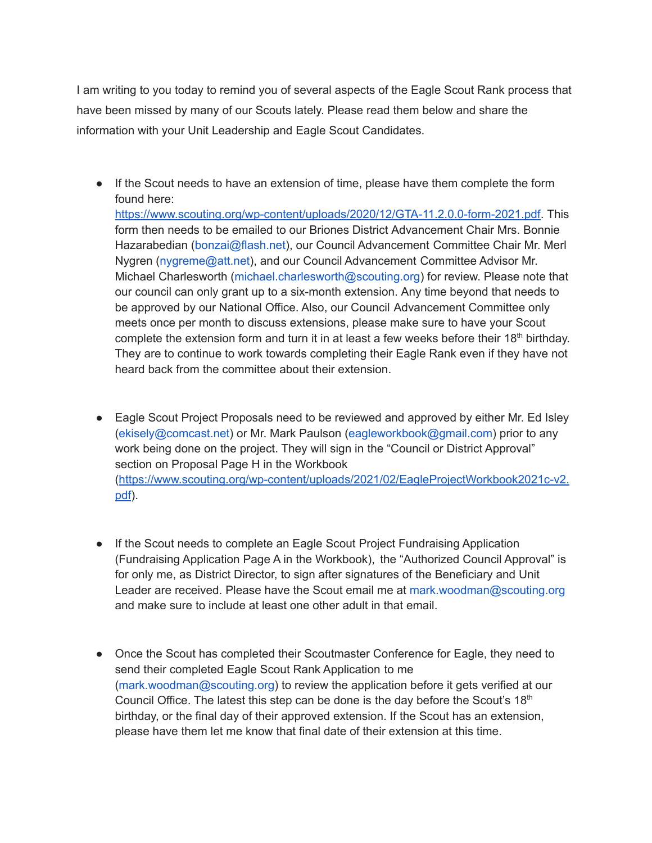I am writing to you today to remind you of several aspects of the Eagle Scout Rank process that have been missed by many of our Scouts lately. Please read them below and share the information with your Unit Leadership and Eagle Scout Candidates.

● If the Scout needs to have an extension of time, please have them complete the form found here: [https://www.scouting.org/wp-content/uploads/2020/12/GTA-11.2.0.0-form-2021.pdf.](https://www.scouting.org/wp-content/uploads/2020/12/GTA-11.2.0.0-form-2021.pdf) This form then needs to be emailed to our Briones District Advancement Chair Mrs. Bonnie Hazarabedian (bonzai@flash.net), our Council Advancement Committee Chair Mr. Merl Nygren (nygreme@att.net), and our Council Advancement Committee Advisor Mr. Michael Charlesworth (michael.charlesworth@scouting.org) for review. Please note that our council can only grant up to a six-month extension. Any time beyond that needs to be approved by our National Office. Also, our Council Advancement Committee only meets once per month to discuss extensions, please make sure to have your Scout

complete the extension form and turn it in at least a few weeks before their 18<sup>th</sup> birthday. They are to continue to work towards completing their Eagle Rank even if they have not heard back from the committee about their extension.

- Eagle Scout Project Proposals need to be reviewed and approved by either Mr. Ed Isley (ekisely@comcast.net) or Mr. Mark Paulson (eagleworkbook@gmail.com) prior to any work being done on the project. They will sign in the "Council or District Approval" section on Proposal Page H in the Workbook ([https://www.scouting.org/wp-content/uploads/2021/02/EagleProjectWorkbook2021c-v2.](https://www.scouting.org/wp-content/uploads/2021/02/EagleProjectWorkbook2021c-v2.pdf) [pdf](https://www.scouting.org/wp-content/uploads/2021/02/EagleProjectWorkbook2021c-v2.pdf)).
- If the Scout needs to complete an Eagle Scout Project Fundraising Application (Fundraising Application Page A in the Workbook), the "Authorized Council Approval" is for only me, as District Director, to sign after signatures of the Beneficiary and Unit Leader are received. Please have the Scout email me at mark.woodman@scouting.org and make sure to include at least one other adult in that email.
- Once the Scout has completed their Scoutmaster Conference for Eagle, they need to send their completed Eagle Scout Rank Application to me (mark.woodman@scouting.org) to review the application before it gets verified at our Council Office. The latest this step can be done is the day before the Scout's  $18<sup>th</sup>$ birthday, or the final day of their approved extension. If the Scout has an extension, please have them let me know that final date of their extension at this time.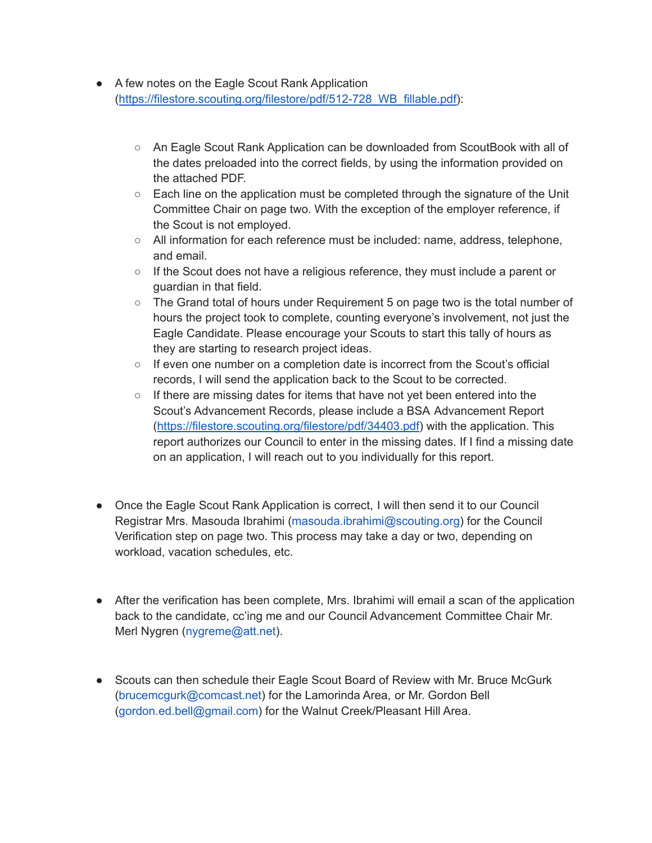- A few notes on the Eagle Scout Rank Application ([https://filestore.scouting.org/filestore/pdf/512-728\\_WB\\_fillable.pdf\)](https://filestore.scouting.org/filestore/pdf/512-728_WB_fillable.pdf):
	- An Eagle Scout Rank Application can be downloaded from ScoutBook with all of the dates preloaded into the correct fields, by using the information provided on the attached PDF.
	- $\circ$  Each line on the application must be completed through the signature of the Unit Committee Chair on page two. With the exception of the employer reference, if the Scout is not employed.
	- All information for each reference must be included: name, address, telephone, and email.
	- $\circ$  If the Scout does not have a religious reference, they must include a parent or guardian in that field.
	- $\circ$  The Grand total of hours under Requirement 5 on page two is the total number of hours the project took to complete, counting everyone's involvement, not just the Eagle Candidate. Please encourage your Scouts to start this tally of hours as they are starting to research project ideas.
	- $\circ$  If even one number on a completion date is incorrect from the Scout's official records, I will send the application back to the Scout to be corrected.
	- $\circ$  If there are missing dates for items that have not yet been entered into the Scout's Advancement Records, please include a BSA Advancement Report ([https://filestore.scouting.org/filestore/pdf/34403.pdf\)](https://filestore.scouting.org/filestore/pdf/34403.pdf) with the application. This report authorizes our Council to enter in the missing dates. If I find a missing date on an application, I will reach out to you individually for this report.
- Once the Eagle Scout Rank Application is correct, I will then send it to our Council Registrar Mrs. Masouda Ibrahimi (masouda.ibrahimi@scouting.org) for the Council Verification step on page two. This process may take a day or two, depending on workload, vacation schedules, etc.
- After the verification has been complete, Mrs. Ibrahimi will email a scan of the application back to the candidate, cc'ing me and our Council Advancement Committee Chair Mr. Merl Nygren (nygreme@att.net).
- Scouts can then schedule their Eagle Scout Board of Review with Mr. Bruce McGurk (brucemcgurk@comcast.net) for the Lamorinda Area, or Mr. Gordon Bell (gordon.ed.bell@gmail.com) for the Walnut Creek/Pleasant Hill Area.